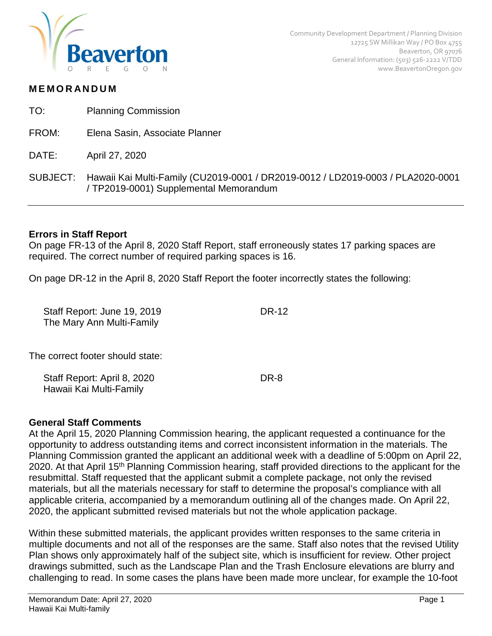

## **MEMORANDUM**

- TO: Planning Commission
- FROM: Elena Sasin, Associate Planner
- DATE: April 27, 2020
- SUBJECT: Hawaii Kai Multi-Family (CU2019-0001 / DR2019-0012 / LD2019-0003 / PLA2020-0001 / TP2019-0001) Supplemental Memorandum

## **Errors in Staff Report**

On page FR-13 of the April 8, 2020 Staff Report, staff erroneously states 17 parking spaces are required. The correct number of required parking spaces is 16.

On page DR-12 in the April 8, 2020 Staff Report the footer incorrectly states the following:

| Staff Report: June 19, 2019<br>The Mary Ann Multi-Family | DR-12 |
|----------------------------------------------------------|-------|
| The correct footer should state:                         |       |
| Staff Report: April 8, 2020<br>Hawaii Kai Multi-Family   | DR-8  |

### **General Staff Comments**

At the April 15, 2020 Planning Commission hearing, the applicant requested a continuance for the opportunity to address outstanding items and correct inconsistent information in the materials. The Planning Commission granted the applicant an additional week with a deadline of 5:00pm on April 22, 2020. At that April 15<sup>th</sup> Planning Commission hearing, staff provided directions to the applicant for the resubmittal. Staff requested that the applicant submit a complete package, not only the revised materials, but all the materials necessary for staff to determine the proposal's compliance with all applicable criteria, accompanied by a memorandum outlining all of the changes made. On April 22, 2020, the applicant submitted revised materials but not the whole application package.

Within these submitted materials, the applicant provides written responses to the same criteria in multiple documents and not all of the responses are the same. Staff also notes that the revised Utility Plan shows only approximately half of the subject site, which is insufficient for review. Other project drawings submitted, such as the Landscape Plan and the Trash Enclosure elevations are blurry and challenging to read. In some cases the plans have been made more unclear, for example the 10-foot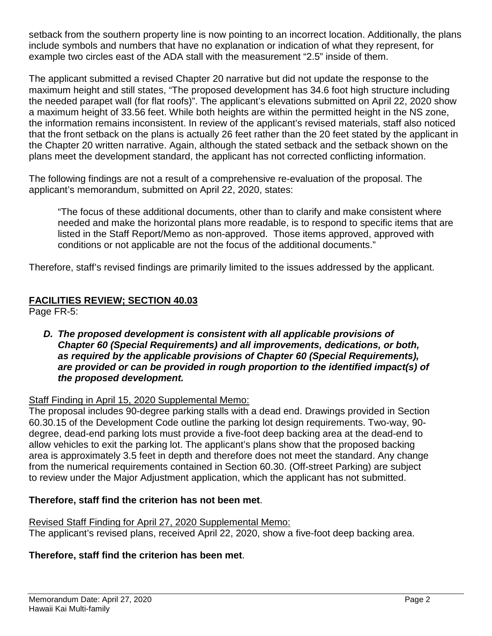setback from the southern property line is now pointing to an incorrect location. Additionally, the plans include symbols and numbers that have no explanation or indication of what they represent, for example two circles east of the ADA stall with the measurement "2.5" inside of them.

The applicant submitted a revised Chapter 20 narrative but did not update the response to the maximum height and still states, "The proposed development has 34.6 foot high structure including the needed parapet wall (for flat roofs)". The applicant's elevations submitted on April 22, 2020 show a maximum height of 33.56 feet. While both heights are within the permitted height in the NS zone, the information remains inconsistent. In review of the applicant's revised materials, staff also noticed that the front setback on the plans is actually 26 feet rather than the 20 feet stated by the applicant in the Chapter 20 written narrative. Again, although the stated setback and the setback shown on the plans meet the development standard, the applicant has not corrected conflicting information.

The following findings are not a result of a comprehensive re-evaluation of the proposal. The applicant's memorandum, submitted on April 22, 2020, states:

"The focus of these additional documents, other than to clarify and make consistent where needed and make the horizontal plans more readable, is to respond to specific items that are listed in the Staff Report/Memo as non-approved. Those items approved, approved with conditions or not applicable are not the focus of the additional documents."

Therefore, staff's revised findings are primarily limited to the issues addressed by the applicant.

## **FACILITIES REVIEW; SECTION 40.03**

Page FR-5:

*D. The proposed development is consistent with all applicable provisions of Chapter 60 (Special Requirements) and all improvements, dedications, or both, as required by the applicable provisions of Chapter 60 (Special Requirements), are provided or can be provided in rough proportion to the identified impact(s) of the proposed development.* 

### Staff Finding in April 15, 2020 Supplemental Memo:

The proposal includes 90-degree parking stalls with a dead end. Drawings provided in Section 60.30.15 of the Development Code outline the parking lot design requirements. Two-way, 90 degree, dead-end parking lots must provide a five-foot deep backing area at the dead-end to allow vehicles to exit the parking lot. The applicant's plans show that the proposed backing area is approximately 3.5 feet in depth and therefore does not meet the standard. Any change from the numerical requirements contained in Section 60.30. (Off-street Parking) are subject to review under the Major Adjustment application, which the applicant has not submitted.

### **Therefore, staff find the criterion has not been met**.

Revised Staff Finding for April 27, 2020 Supplemental Memo:

The applicant's revised plans, received April 22, 2020, show a five-foot deep backing area.

### **Therefore, staff find the criterion has been met**.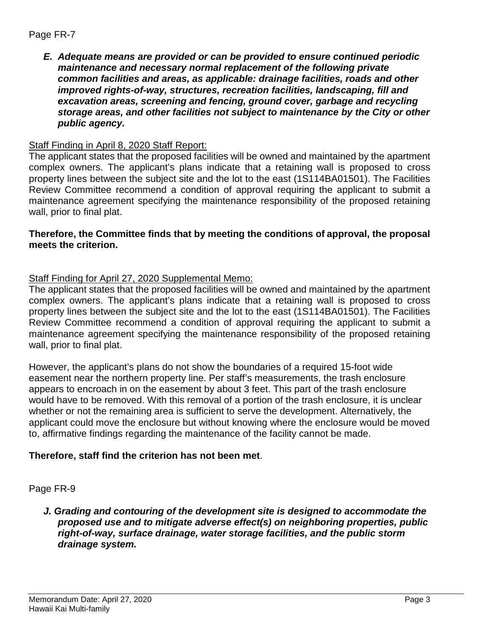## Page FR-7

*E. Adequate means are provided or can be provided to ensure continued periodic maintenance and necessary normal replacement of the following private common facilities and areas, as applicable: drainage facilities, roads and other improved rights-of-way, structures, recreation facilities, landscaping, fill and excavation areas, screening and fencing, ground cover, garbage and recycling storage areas, and other facilities not subject to maintenance by the City or other public agency.*

## Staff Finding in April 8, 2020 Staff Report:

The applicant states that the proposed facilities will be owned and maintained by the apartment complex owners. The applicant's plans indicate that a retaining wall is proposed to cross property lines between the subject site and the lot to the east (1S114BA01501). The Facilities Review Committee recommend a condition of approval requiring the applicant to submit a maintenance agreement specifying the maintenance responsibility of the proposed retaining wall, prior to final plat.

## **Therefore, the Committee finds that by meeting the conditions of approval, the proposal meets the criterion.**

## Staff Finding for April 27, 2020 Supplemental Memo:

The applicant states that the proposed facilities will be owned and maintained by the apartment complex owners. The applicant's plans indicate that a retaining wall is proposed to cross property lines between the subject site and the lot to the east (1S114BA01501). The Facilities Review Committee recommend a condition of approval requiring the applicant to submit a maintenance agreement specifying the maintenance responsibility of the proposed retaining wall, prior to final plat.

However, the applicant's plans do not show the boundaries of a required 15-foot wide easement near the northern property line. Per staff's measurements, the trash enclosure appears to encroach in on the easement by about 3 feet. This part of the trash enclosure would have to be removed. With this removal of a portion of the trash enclosure, it is unclear whether or not the remaining area is sufficient to serve the development. Alternatively, the applicant could move the enclosure but without knowing where the enclosure would be moved to, affirmative findings regarding the maintenance of the facility cannot be made.

### **Therefore, staff find the criterion has not been met**.

### Page FR-9

*J. Grading and contouring of the development site is designed to accommodate the proposed use and to mitigate adverse effect(s) on neighboring properties, public right-of-way, surface drainage, water storage facilities, and the public storm drainage system.*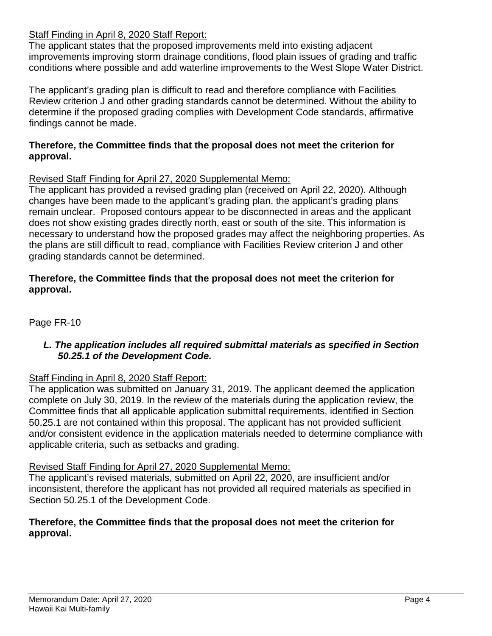# Staff Finding in April 8, 2020 Staff Report:

The applicant states that the proposed improvements meld into existing adjacent improvements improving storm drainage conditions, flood plain issues of grading and traffic conditions where possible and add waterline improvements to the West Slope Water District.

The applicant's grading plan is difficult to read and therefore compliance with Facilities Review criterion J and other grading standards cannot be determined. Without the ability to determine if the proposed grading complies with Development Code standards, affirmative findings cannot be made.

## **Therefore, the Committee finds that the proposal does not meet the criterion for approval.**

### Revised Staff Finding for April 27, 2020 Supplemental Memo:

The applicant has provided a revised grading plan (received on April 22, 2020). Although changes have been made to the applicant's grading plan, the applicant's grading plans remain unclear. Proposed contours appear to be disconnected in areas and the applicant does not show existing grades directly north, east or south of the site. This information is necessary to understand how the proposed grades may affect the neighboring properties. As the plans are still difficult to read, compliance with Facilities Review criterion J and other grading standards cannot be determined.

## **Therefore, the Committee finds that the proposal does not meet the criterion for approval.**

Page FR-10

## *L. The application includes all required submittal materials as specified in Section 50.25.1 of the Development Code.*

# Staff Finding in April 8, 2020 Staff Report:

The application was submitted on January 31, 2019. The applicant deemed the application complete on July 30, 2019. In the review of the materials during the application review, the Committee finds that all applicable application submittal requirements, identified in Section 50.25.1 are not contained within this proposal. The applicant has not provided sufficient and/or consistent evidence in the application materials needed to determine compliance with applicable criteria, such as setbacks and grading.

### Revised Staff Finding for April 27, 2020 Supplemental Memo:

The applicant's revised materials, submitted on April 22, 2020, are insufficient and/or inconsistent, therefore the applicant has not provided all required materials as specified in Section 50.25.1 of the Development Code.

## **Therefore, the Committee finds that the proposal does not meet the criterion for approval.**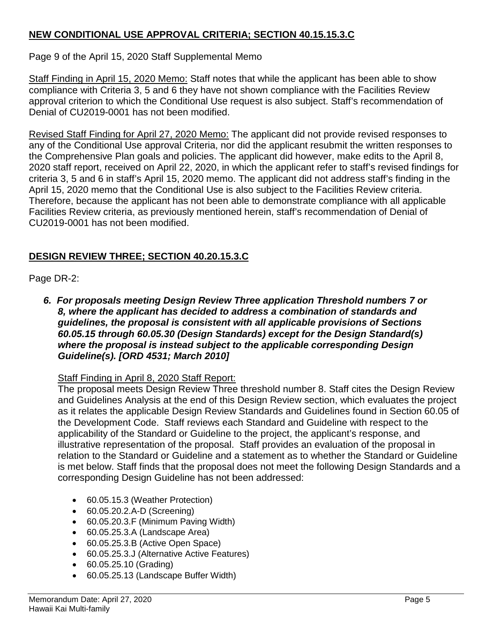# **NEW CONDITIONAL USE APPROVAL CRITERIA; SECTION 40.15.15.3.C**

Page 9 of the April 15, 2020 Staff Supplemental Memo

Staff Finding in April 15, 2020 Memo: Staff notes that while the applicant has been able to show compliance with Criteria 3, 5 and 6 they have not shown compliance with the Facilities Review approval criterion to which the Conditional Use request is also subject. Staff's recommendation of Denial of CU2019-0001 has not been modified.

Revised Staff Finding for April 27, 2020 Memo: The applicant did not provide revised responses to any of the Conditional Use approval Criteria, nor did the applicant resubmit the written responses to the Comprehensive Plan goals and policies. The applicant did however, make edits to the April 8, 2020 staff report, received on April 22, 2020, in which the applicant refer to staff's revised findings for criteria 3, 5 and 6 in staff's April 15, 2020 memo. The applicant did not address staff's finding in the April 15, 2020 memo that the Conditional Use is also subject to the Facilities Review criteria. Therefore, because the applicant has not been able to demonstrate compliance with all applicable Facilities Review criteria, as previously mentioned herein, staff's recommendation of Denial of CU2019-0001 has not been modified.

# **DESIGN REVIEW THREE; SECTION 40.20.15.3.C**

# Page DR-2:

*6. For proposals meeting Design Review Three application Threshold numbers 7 or 8, where the applicant has decided to address a combination of standards and guidelines, the proposal is consistent with all applicable provisions of Sections 60.05.15 through 60.05.30 (Design Standards) except for the Design Standard(s) where the proposal is instead subject to the applicable corresponding Design Guideline(s). [ORD 4531; March 2010]*

# Staff Finding in April 8, 2020 Staff Report:

The proposal meets Design Review Three threshold number 8. Staff cites the Design Review and Guidelines Analysis at the end of this Design Review section, which evaluates the project as it relates the applicable Design Review Standards and Guidelines found in Section 60.05 of the Development Code. Staff reviews each Standard and Guideline with respect to the applicability of the Standard or Guideline to the project, the applicant's response, and illustrative representation of the proposal. Staff provides an evaluation of the proposal in relation to the Standard or Guideline and a statement as to whether the Standard or Guideline is met below. Staff finds that the proposal does not meet the following Design Standards and a corresponding Design Guideline has not been addressed:

- 60.05.15.3 (Weather Protection)
- 60.05.20.2.A-D (Screening)
- 60.05.20.3.F (Minimum Paving Width)
- 60.05.25.3.A (Landscape Area)
- 60.05.25.3.B (Active Open Space)
- 60.05.25.3.J (Alternative Active Features)
- 60.05.25.10 (Grading)
- 60.05.25.13 (Landscape Buffer Width)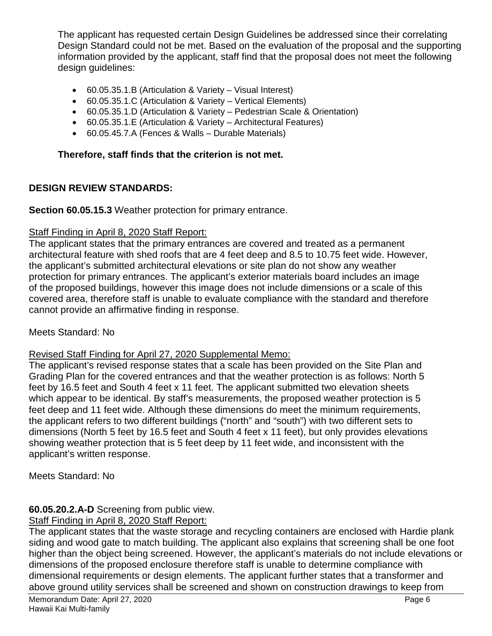The applicant has requested certain Design Guidelines be addressed since their correlating Design Standard could not be met. Based on the evaluation of the proposal and the supporting information provided by the applicant, staff find that the proposal does not meet the following design guidelines:

- 60.05.35.1.B (Articulation & Variety Visual Interest)
- 60.05.35.1.C (Articulation & Variety Vertical Elements)
- 60.05.35.1.D (Articulation & Variety Pedestrian Scale & Orientation)
- 60.05.35.1.E (Articulation & Variety Architectural Features)
- 60.05.45.7.A (Fences & Walls Durable Materials)

## **Therefore, staff finds that the criterion is not met.**

### **DESIGN REVIEW STANDARDS:**

**Section 60.05.15.3** Weather protection for primary entrance.

## Staff Finding in April 8, 2020 Staff Report:

The applicant states that the primary entrances are covered and treated as a permanent architectural feature with shed roofs that are 4 feet deep and 8.5 to 10.75 feet wide. However, the applicant's submitted architectural elevations or site plan do not show any weather protection for primary entrances. The applicant's exterior materials board includes an image of the proposed buildings, however this image does not include dimensions or a scale of this covered area, therefore staff is unable to evaluate compliance with the standard and therefore cannot provide an affirmative finding in response.

Meets Standard: No

#### Revised Staff Finding for April 27, 2020 Supplemental Memo:

The applicant's revised response states that a scale has been provided on the Site Plan and Grading Plan for the covered entrances and that the weather protection is as follows: North 5 feet by 16.5 feet and South 4 feet x 11 feet. The applicant submitted two elevation sheets which appear to be identical. By staff's measurements, the proposed weather protection is 5 feet deep and 11 feet wide. Although these dimensions do meet the minimum requirements, the applicant refers to two different buildings ("north" and "south") with two different sets to dimensions (North 5 feet by 16.5 feet and South 4 feet x 11 feet), but only provides elevations showing weather protection that is 5 feet deep by 11 feet wide, and inconsistent with the applicant's written response.

Meets Standard: No

### **60.05.20.2.A-D** Screening from public view.

### Staff Finding in April 8, 2020 Staff Report:

The applicant states that the waste storage and recycling containers are enclosed with Hardie plank siding and wood gate to match building. The applicant also explains that screening shall be one foot higher than the object being screened. However, the applicant's materials do not include elevations or dimensions of the proposed enclosure therefore staff is unable to determine compliance with dimensional requirements or design elements. The applicant further states that a transformer and above ground utility services shall be screened and shown on construction drawings to keep from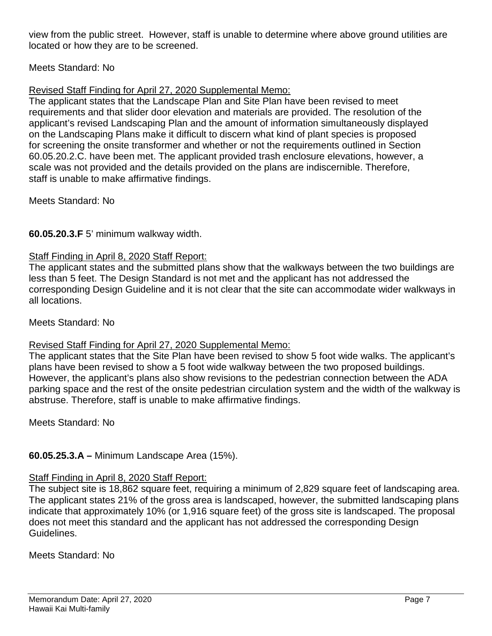view from the public street. However, staff is unable to determine where above ground utilities are located or how they are to be screened.

# Meets Standard: No

# Revised Staff Finding for April 27, 2020 Supplemental Memo:

The applicant states that the Landscape Plan and Site Plan have been revised to meet requirements and that slider door elevation and materials are provided. The resolution of the applicant's revised Landscaping Plan and the amount of information simultaneously displayed on the Landscaping Plans make it difficult to discern what kind of plant species is proposed for screening the onsite transformer and whether or not the requirements outlined in Section 60.05.20.2.C. have been met. The applicant provided trash enclosure elevations, however, a scale was not provided and the details provided on the plans are indiscernible. Therefore, staff is unable to make affirmative findings.

Meets Standard: No

# **60.05.20.3.F** 5' minimum walkway width.

### Staff Finding in April 8, 2020 Staff Report:

The applicant states and the submitted plans show that the walkways between the two buildings are less than 5 feet. The Design Standard is not met and the applicant has not addressed the corresponding Design Guideline and it is not clear that the site can accommodate wider walkways in all locations.

### Meets Standard: No

### Revised Staff Finding for April 27, 2020 Supplemental Memo:

The applicant states that the Site Plan have been revised to show 5 foot wide walks. The applicant's plans have been revised to show a 5 foot wide walkway between the two proposed buildings. However, the applicant's plans also show revisions to the pedestrian connection between the ADA parking space and the rest of the onsite pedestrian circulation system and the width of the walkway is abstruse. Therefore, staff is unable to make affirmative findings.

Meets Standard: No

# **60.05.25.3.A –** Minimum Landscape Area (15%).

### Staff Finding in April 8, 2020 Staff Report:

The subject site is 18,862 square feet, requiring a minimum of 2,829 square feet of landscaping area. The applicant states 21% of the gross area is landscaped, however, the submitted landscaping plans indicate that approximately 10% (or 1,916 square feet) of the gross site is landscaped. The proposal does not meet this standard and the applicant has not addressed the corresponding Design Guidelines.

Meets Standard: No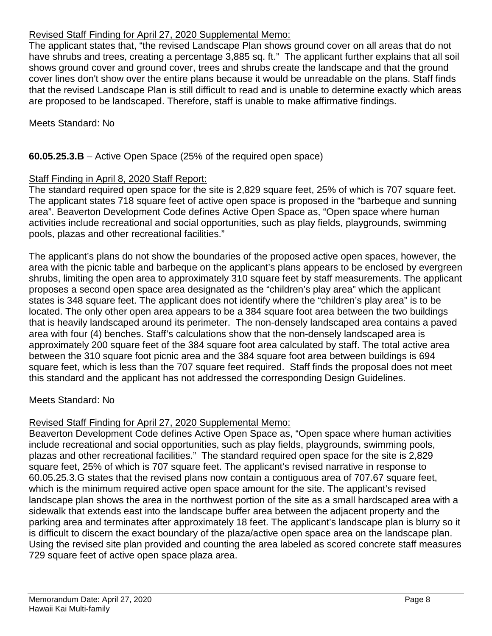# Revised Staff Finding for April 27, 2020 Supplemental Memo:

The applicant states that, "the revised Landscape Plan shows ground cover on all areas that do not have shrubs and trees, creating a percentage 3,885 sq. ft." The applicant further explains that all soil shows ground cover and ground cover, trees and shrubs create the landscape and that the ground cover lines don't show over the entire plans because it would be unreadable on the plans. Staff finds that the revised Landscape Plan is still difficult to read and is unable to determine exactly which areas are proposed to be landscaped. Therefore, staff is unable to make affirmative findings.

Meets Standard: No

# **60.05.25.3.B** – Active Open Space (25% of the required open space)

# Staff Finding in April 8, 2020 Staff Report:

The standard required open space for the site is 2,829 square feet, 25% of which is 707 square feet. The applicant states 718 square feet of active open space is proposed in the "barbeque and sunning area". Beaverton Development Code defines Active Open Space as, "Open space where human activities include recreational and social opportunities, such as play fields, playgrounds, swimming pools, plazas and other recreational facilities."

The applicant's plans do not show the boundaries of the proposed active open spaces, however, the area with the picnic table and barbeque on the applicant's plans appears to be enclosed by evergreen shrubs, limiting the open area to approximately 310 square feet by staff measurements. The applicant proposes a second open space area designated as the "children's play area" which the applicant states is 348 square feet. The applicant does not identify where the "children's play area" is to be located. The only other open area appears to be a 384 square foot area between the two buildings that is heavily landscaped around its perimeter. The non-densely landscaped area contains a paved area with four (4) benches. Staff's calculations show that the non-densely landscaped area is approximately 200 square feet of the 384 square foot area calculated by staff. The total active area between the 310 square foot picnic area and the 384 square foot area between buildings is 694 square feet, which is less than the 707 square feet required. Staff finds the proposal does not meet this standard and the applicant has not addressed the corresponding Design Guidelines.

# Meets Standard: No

# Revised Staff Finding for April 27, 2020 Supplemental Memo:

Beaverton Development Code defines Active Open Space as, "Open space where human activities include recreational and social opportunities, such as play fields, playgrounds, swimming pools, plazas and other recreational facilities." The standard required open space for the site is 2,829 square feet, 25% of which is 707 square feet. The applicant's revised narrative in response to 60.05.25.3.G states that the revised plans now contain a contiguous area of 707.67 square feet, which is the minimum required active open space amount for the site. The applicant's revised landscape plan shows the area in the northwest portion of the site as a small hardscaped area with a sidewalk that extends east into the landscape buffer area between the adjacent property and the parking area and terminates after approximately 18 feet. The applicant's landscape plan is blurry so it is difficult to discern the exact boundary of the plaza/active open space area on the landscape plan. Using the revised site plan provided and counting the area labeled as scored concrete staff measures 729 square feet of active open space plaza area.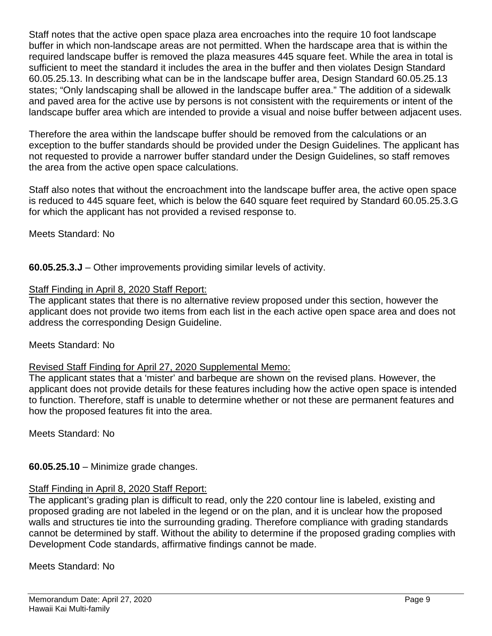Staff notes that the active open space plaza area encroaches into the require 10 foot landscape buffer in which non-landscape areas are not permitted. When the hardscape area that is within the required landscape buffer is removed the plaza measures 445 square feet. While the area in total is sufficient to meet the standard it includes the area in the buffer and then violates Design Standard 60.05.25.13. In describing what can be in the landscape buffer area, Design Standard 60.05.25.13 states; "Only landscaping shall be allowed in the landscape buffer area." The addition of a sidewalk and paved area for the active use by persons is not consistent with the requirements or intent of the landscape buffer area which are intended to provide a visual and noise buffer between adjacent uses.

Therefore the area within the landscape buffer should be removed from the calculations or an exception to the buffer standards should be provided under the Design Guidelines. The applicant has not requested to provide a narrower buffer standard under the Design Guidelines, so staff removes the area from the active open space calculations.

Staff also notes that without the encroachment into the landscape buffer area, the active open space is reduced to 445 square feet, which is below the 640 square feet required by Standard 60.05.25.3.G for which the applicant has not provided a revised response to.

Meets Standard: No

**60.05.25.3.J** – Other improvements providing similar levels of activity.

# Staff Finding in April 8, 2020 Staff Report:

The applicant states that there is no alternative review proposed under this section, however the applicant does not provide two items from each list in the each active open space area and does not address the corresponding Design Guideline.

# Meets Standard: No

# Revised Staff Finding for April 27, 2020 Supplemental Memo:

The applicant states that a 'mister' and barbeque are shown on the revised plans. However, the applicant does not provide details for these features including how the active open space is intended to function. Therefore, staff is unable to determine whether or not these are permanent features and how the proposed features fit into the area.

Meets Standard: No

**60.05.25.10** – Minimize grade changes.

# Staff Finding in April 8, 2020 Staff Report:

The applicant's grading plan is difficult to read, only the 220 contour line is labeled, existing and proposed grading are not labeled in the legend or on the plan, and it is unclear how the proposed walls and structures tie into the surrounding grading. Therefore compliance with grading standards cannot be determined by staff. Without the ability to determine if the proposed grading complies with Development Code standards, affirmative findings cannot be made.

Meets Standard: No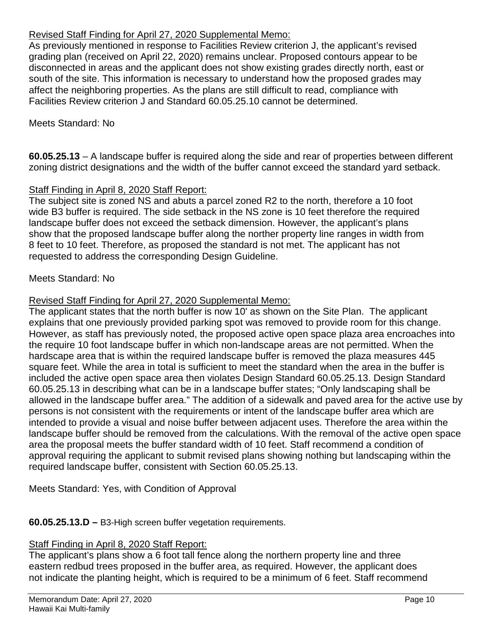# Revised Staff Finding for April 27, 2020 Supplemental Memo:

As previously mentioned in response to Facilities Review criterion J, the applicant's revised grading plan (received on April 22, 2020) remains unclear. Proposed contours appear to be disconnected in areas and the applicant does not show existing grades directly north, east or south of the site. This information is necessary to understand how the proposed grades may affect the neighboring properties. As the plans are still difficult to read, compliance with Facilities Review criterion J and Standard 60.05.25.10 cannot be determined.

## Meets Standard: No

**60.05.25.13** – A landscape buffer is required along the side and rear of properties between different zoning district designations and the width of the buffer cannot exceed the standard yard setback.

## Staff Finding in April 8, 2020 Staff Report:

The subject site is zoned NS and abuts a parcel zoned R2 to the north, therefore a 10 foot wide B3 buffer is required. The side setback in the NS zone is 10 feet therefore the required landscape buffer does not exceed the setback dimension. However, the applicant's plans show that the proposed landscape buffer along the norther property line ranges in width from 8 feet to 10 feet. Therefore, as proposed the standard is not met. The applicant has not requested to address the corresponding Design Guideline.

## Meets Standard: No

## Revised Staff Finding for April 27, 2020 Supplemental Memo:

The applicant states that the north buffer is now 10' as shown on the Site Plan. The applicant explains that one previously provided parking spot was removed to provide room for this change. However, as staff has previously noted, the proposed active open space plaza area encroaches into the require 10 foot landscape buffer in which non-landscape areas are not permitted. When the hardscape area that is within the required landscape buffer is removed the plaza measures 445 square feet. While the area in total is sufficient to meet the standard when the area in the buffer is included the active open space area then violates Design Standard 60.05.25.13. Design Standard 60.05.25.13 in describing what can be in a landscape buffer states; "Only landscaping shall be allowed in the landscape buffer area." The addition of a sidewalk and paved area for the active use by persons is not consistent with the requirements or intent of the landscape buffer area which are intended to provide a visual and noise buffer between adjacent uses. Therefore the area within the landscape buffer should be removed from the calculations. With the removal of the active open space area the proposal meets the buffer standard width of 10 feet. Staff recommend a condition of approval requiring the applicant to submit revised plans showing nothing but landscaping within the required landscape buffer, consistent with Section 60.05.25.13.

Meets Standard: Yes, with Condition of Approval

### **60.05.25.13.D –** B3-High screen buffer vegetation requirements.

### Staff Finding in April 8, 2020 Staff Report:

The applicant's plans show a 6 foot tall fence along the northern property line and three eastern redbud trees proposed in the buffer area, as required. However, the applicant does not indicate the planting height, which is required to be a minimum of 6 feet. Staff recommend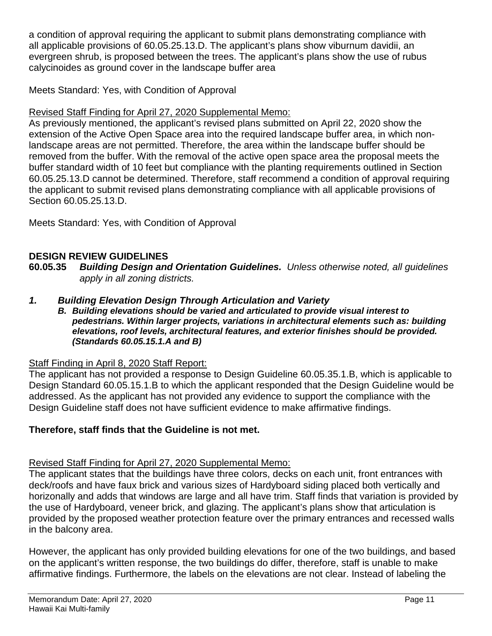a condition of approval requiring the applicant to submit plans demonstrating compliance with all applicable provisions of 60.05.25.13.D. The applicant's plans show viburnum davidii, an evergreen shrub, is proposed between the trees. The applicant's plans show the use of rubus calycinoides as ground cover in the landscape buffer area

Meets Standard: Yes, with Condition of Approval

# Revised Staff Finding for April 27, 2020 Supplemental Memo:

As previously mentioned, the applicant's revised plans submitted on April 22, 2020 show the extension of the Active Open Space area into the required landscape buffer area, in which nonlandscape areas are not permitted. Therefore, the area within the landscape buffer should be removed from the buffer. With the removal of the active open space area the proposal meets the buffer standard width of 10 feet but compliance with the planting requirements outlined in Section 60.05.25.13.D cannot be determined. Therefore, staff recommend a condition of approval requiring the applicant to submit revised plans demonstrating compliance with all applicable provisions of Section 60.05.25.13.D.

Meets Standard: Yes, with Condition of Approval

# **DESIGN REVIEW GUIDELINES**

**60.05.35** *Building Design and Orientation Guidelines. Unless otherwise noted, all guidelines apply in all zoning districts.*

- *1. Building Elevation Design Through Articulation and Variety*
	- *B. Building elevations should be varied and articulated to provide visual interest to pedestrians. Within larger projects, variations in architectural elements such as: building elevations, roof levels, architectural features, and exterior finishes should be provided. (Standards 60.05.15.1.A and B)*

# Staff Finding in April 8, 2020 Staff Report:

The applicant has not provided a response to Design Guideline 60.05.35.1.B, which is applicable to Design Standard 60.05.15.1.B to which the applicant responded that the Design Guideline would be addressed. As the applicant has not provided any evidence to support the compliance with the Design Guideline staff does not have sufficient evidence to make affirmative findings.

# **Therefore, staff finds that the Guideline is not met.**

# Revised Staff Finding for April 27, 2020 Supplemental Memo:

The applicant states that the buildings have three colors, decks on each unit, front entrances with deck/roofs and have faux brick and various sizes of Hardyboard siding placed both vertically and horizonally and adds that windows are large and all have trim. Staff finds that variation is provided by the use of Hardyboard, veneer brick, and glazing. The applicant's plans show that articulation is provided by the proposed weather protection feature over the primary entrances and recessed walls in the balcony area.

However, the applicant has only provided building elevations for one of the two buildings, and based on the applicant's written response, the two buildings do differ, therefore, staff is unable to make affirmative findings. Furthermore, the labels on the elevations are not clear. Instead of labeling the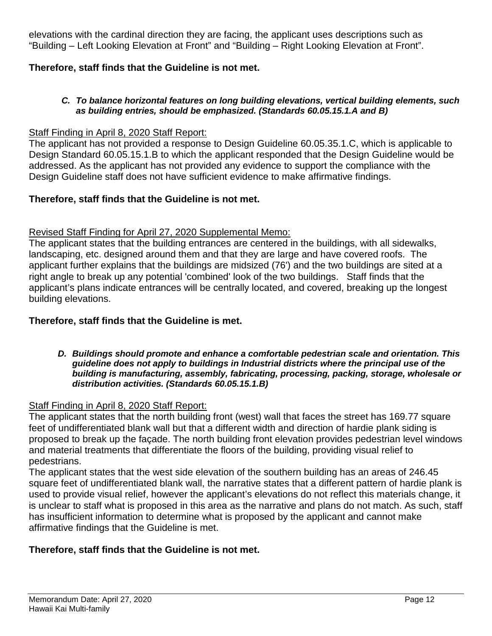elevations with the cardinal direction they are facing, the applicant uses descriptions such as "Building – Left Looking Elevation at Front" and "Building – Right Looking Elevation at Front".

# **Therefore, staff finds that the Guideline is not met.**

### *C. To balance horizontal features on long building elevations, vertical building elements, such as building entries, should be emphasized. (Standards 60.05.15.1.A and B)*

## Staff Finding in April 8, 2020 Staff Report:

The applicant has not provided a response to Design Guideline 60.05.35.1.C, which is applicable to Design Standard 60.05.15.1.B to which the applicant responded that the Design Guideline would be addressed. As the applicant has not provided any evidence to support the compliance with the Design Guideline staff does not have sufficient evidence to make affirmative findings.

## **Therefore, staff finds that the Guideline is not met.**

## Revised Staff Finding for April 27, 2020 Supplemental Memo:

The applicant states that the building entrances are centered in the buildings, with all sidewalks, landscaping, etc. designed around them and that they are large and have covered roofs. The applicant further explains that the buildings are midsized (76') and the two buildings are sited at a right angle to break up any potential 'combined' look of the two buildings. Staff finds that the applicant's plans indicate entrances will be centrally located, and covered, breaking up the longest building elevations.

## **Therefore, staff finds that the Guideline is met.**

#### *D. Buildings should promote and enhance a comfortable pedestrian scale and orientation. This guideline does not apply to buildings in Industrial districts where the principal use of the building is manufacturing, assembly, fabricating, processing, packing, storage, wholesale or distribution activities. (Standards 60.05.15.1.B)*

### Staff Finding in April 8, 2020 Staff Report:

The applicant states that the north building front (west) wall that faces the street has 169.77 square feet of undifferentiated blank wall but that a different width and direction of hardie plank siding is proposed to break up the façade. The north building front elevation provides pedestrian level windows and material treatments that differentiate the floors of the building, providing visual relief to pedestrians.

The applicant states that the west side elevation of the southern building has an areas of 246.45 square feet of undifferentiated blank wall, the narrative states that a different pattern of hardie plank is used to provide visual relief, however the applicant's elevations do not reflect this materials change, it is unclear to staff what is proposed in this area as the narrative and plans do not match. As such, staff has insufficient information to determine what is proposed by the applicant and cannot make affirmative findings that the Guideline is met.

# **Therefore, staff finds that the Guideline is not met.**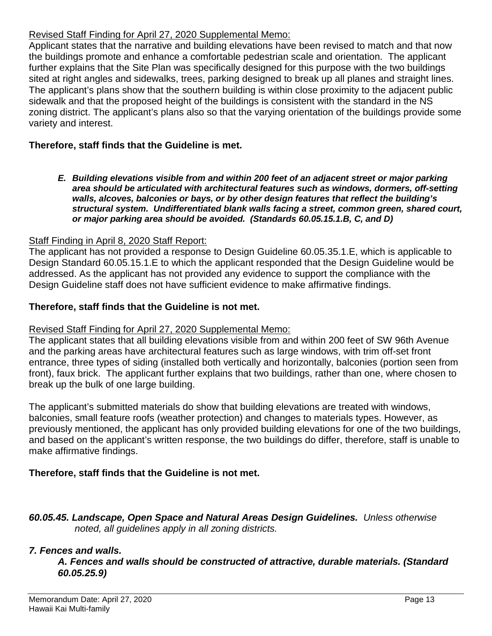# Revised Staff Finding for April 27, 2020 Supplemental Memo:

Applicant states that the narrative and building elevations have been revised to match and that now the buildings promote and enhance a comfortable pedestrian scale and orientation. The applicant further explains that the Site Plan was specifically designed for this purpose with the two buildings sited at right angles and sidewalks, trees, parking designed to break up all planes and straight lines. The applicant's plans show that the southern building is within close proximity to the adjacent public sidewalk and that the proposed height of the buildings is consistent with the standard in the NS zoning district. The applicant's plans also so that the varying orientation of the buildings provide some variety and interest.

# **Therefore, staff finds that the Guideline is met.**

*E. Building elevations visible from and within 200 feet of an adjacent street or major parking area should be articulated with architectural features such as windows, dormers, off-setting walls, alcoves, balconies or bays, or by other design features that reflect the building's structural system. Undifferentiated blank walls facing a street, common green, shared court, or major parking area should be avoided. (Standards 60.05.15.1.B, C, and D)*

# Staff Finding in April 8, 2020 Staff Report:

The applicant has not provided a response to Design Guideline 60.05.35.1.E, which is applicable to Design Standard 60.05.15.1.E to which the applicant responded that the Design Guideline would be addressed. As the applicant has not provided any evidence to support the compliance with the Design Guideline staff does not have sufficient evidence to make affirmative findings.

## **Therefore, staff finds that the Guideline is not met.**

### Revised Staff Finding for April 27, 2020 Supplemental Memo:

The applicant states that all building elevations visible from and within 200 feet of SW 96th Avenue and the parking areas have architectural features such as large windows, with trim off-set front entrance, three types of siding (installed both vertically and horizontally, balconies (portion seen from front), faux brick. The applicant further explains that two buildings, rather than one, where chosen to break up the bulk of one large building.

The applicant's submitted materials do show that building elevations are treated with windows, balconies, small feature roofs (weather protection) and changes to materials types. However, as previously mentioned, the applicant has only provided building elevations for one of the two buildings, and based on the applicant's written response, the two buildings do differ, therefore, staff is unable to make affirmative findings.

# **Therefore, staff finds that the Guideline is not met.**

*60.05.45. Landscape, Open Space and Natural Areas Design Guidelines. Unless otherwise noted, all guidelines apply in all zoning districts.*

# *7. Fences and walls.*

*A. Fences and walls should be constructed of attractive, durable materials. (Standard 60.05.25.9)*